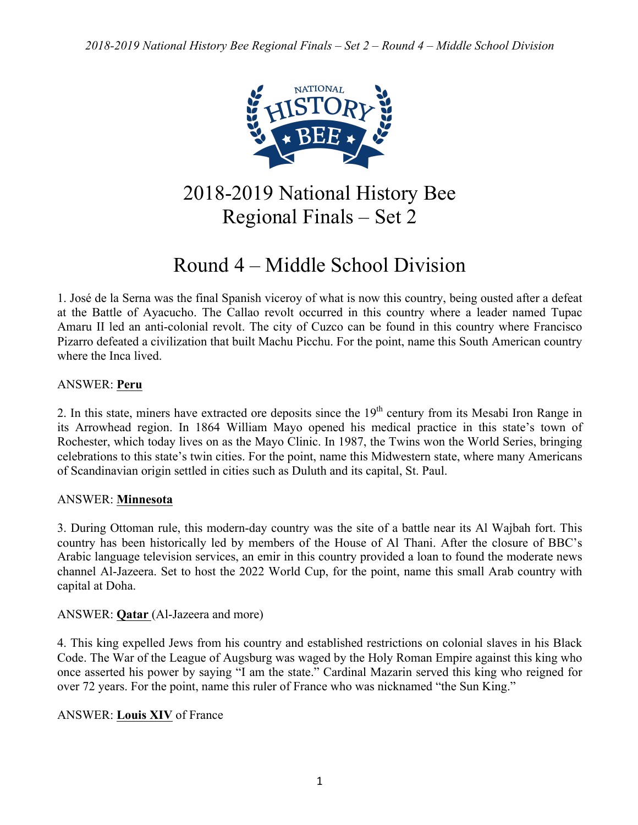

2018-2019 National History Bee Regional Finals – Set 2

# Round 4 – Middle School Division

1. José de la Serna was the final Spanish viceroy of what is now this country, being ousted after a defeat at the Battle of Ayacucho. The Callao revolt occurred in this country where a leader named Tupac Amaru II led an anti-colonial revolt. The city of Cuzco can be found in this country where Francisco Pizarro defeated a civilization that built Machu Picchu. For the point, name this South American country where the Inca lived.

# ANSWER: **Peru**

2. In this state, miners have extracted ore deposits since the  $19<sup>th</sup>$  century from its Mesabi Iron Range in its Arrowhead region. In 1864 William Mayo opened his medical practice in this state's town of Rochester, which today lives on as the Mayo Clinic. In 1987, the Twins won the World Series, bringing celebrations to this state's twin cities. For the point, name this Midwestern state, where many Americans of Scandinavian origin settled in cities such as Duluth and its capital, St. Paul.

## ANSWER: **Minnesota**

3. During Ottoman rule, this modern-day country was the site of a battle near its Al Wajbah fort. This country has been historically led by members of the House of Al Thani. After the closure of BBC's Arabic language television services, an emir in this country provided a loan to found the moderate news channel Al-Jazeera. Set to host the 2022 World Cup, for the point, name this small Arab country with capital at Doha.

## ANSWER: **Qatar** (Al-Jazeera and more)

4. This king expelled Jews from his country and established restrictions on colonial slaves in his Black Code. The War of the League of Augsburg was waged by the Holy Roman Empire against this king who once asserted his power by saying "I am the state." Cardinal Mazarin served this king who reigned for over 72 years. For the point, name this ruler of France who was nicknamed "the Sun King."

## ANSWER: **Louis XIV** of France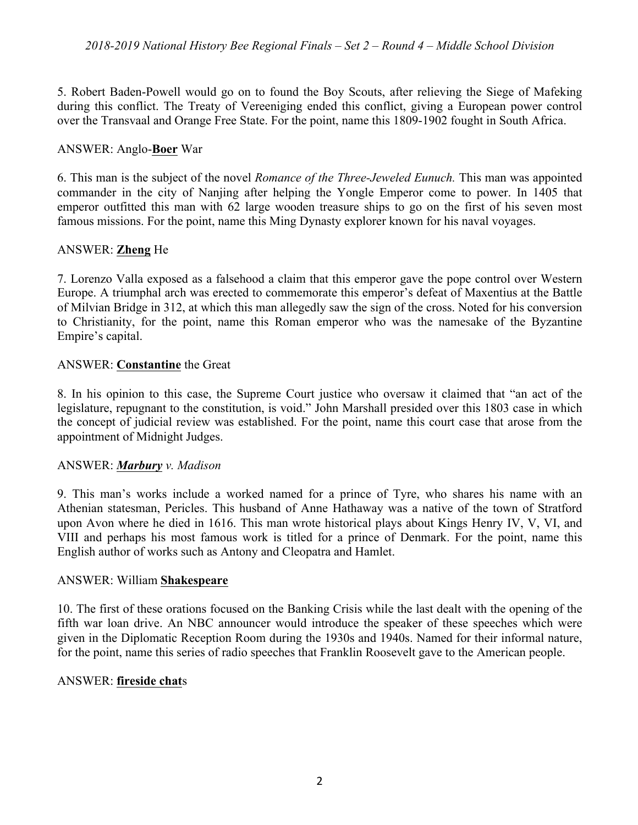5. Robert Baden-Powell would go on to found the Boy Scouts, after relieving the Siege of Mafeking during this conflict. The Treaty of Vereeniging ended this conflict, giving a European power control over the Transvaal and Orange Free State. For the point, name this 1809-1902 fought in South Africa.

#### ANSWER: Anglo-**Boer** War

6. This man is the subject of the novel *Romance of the Three-Jeweled Eunuch.* This man was appointed commander in the city of Nanjing after helping the Yongle Emperor come to power. In 1405 that emperor outfitted this man with 62 large wooden treasure ships to go on the first of his seven most famous missions. For the point, name this Ming Dynasty explorer known for his naval voyages.

## ANSWER: **Zheng** He

7. Lorenzo Valla exposed as a falsehood a claim that this emperor gave the pope control over Western Europe. A triumphal arch was erected to commemorate this emperor's defeat of Maxentius at the Battle of Milvian Bridge in 312, at which this man allegedly saw the sign of the cross. Noted for his conversion to Christianity, for the point, name this Roman emperor who was the namesake of the Byzantine Empire's capital.

## ANSWER: **Constantine** the Great

8. In his opinion to this case, the Supreme Court justice who oversaw it claimed that "an act of the legislature, repugnant to the constitution, is void." John Marshall presided over this 1803 case in which the concept of judicial review was established. For the point, name this court case that arose from the appointment of Midnight Judges.

#### ANSWER: *Marbury v. Madison*

9. This man's works include a worked named for a prince of Tyre, who shares his name with an Athenian statesman, Pericles. This husband of Anne Hathaway was a native of the town of Stratford upon Avon where he died in 1616. This man wrote historical plays about Kings Henry IV, V, VI, and VIII and perhaps his most famous work is titled for a prince of Denmark. For the point, name this English author of works such as Antony and Cleopatra and Hamlet.

#### ANSWER: William **Shakespeare**

10. The first of these orations focused on the Banking Crisis while the last dealt with the opening of the fifth war loan drive. An NBC announcer would introduce the speaker of these speeches which were given in the Diplomatic Reception Room during the 1930s and 1940s. Named for their informal nature, for the point, name this series of radio speeches that Franklin Roosevelt gave to the American people.

#### ANSWER: **fireside chat**s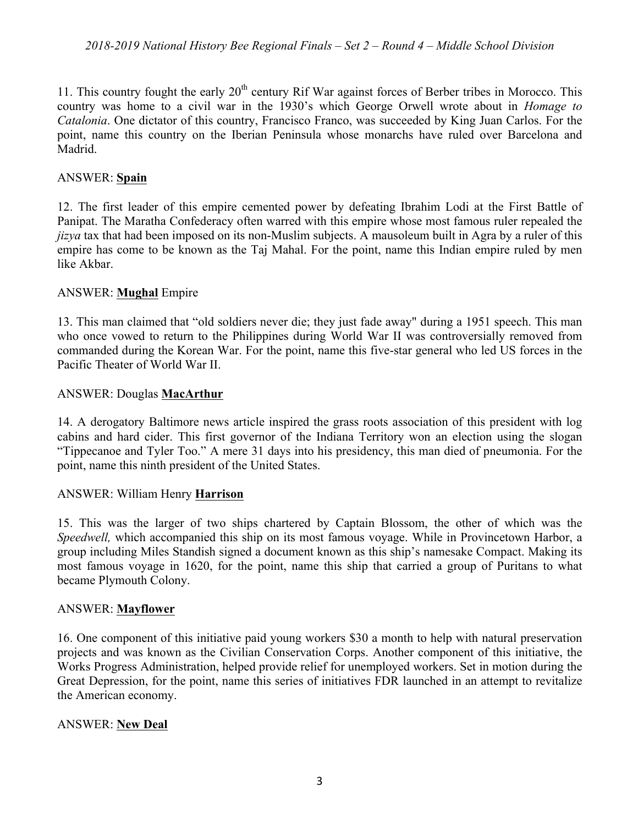11. This country fought the early  $20<sup>th</sup>$  century Rif War against forces of Berber tribes in Morocco. This country was home to a civil war in the 1930's which George Orwell wrote about in *Homage to Catalonia*. One dictator of this country, Francisco Franco, was succeeded by King Juan Carlos. For the point, name this country on the Iberian Peninsula whose monarchs have ruled over Barcelona and Madrid.

# ANSWER: **Spain**

12. The first leader of this empire cemented power by defeating Ibrahim Lodi at the First Battle of Panipat. The Maratha Confederacy often warred with this empire whose most famous ruler repealed the *jizya* tax that had been imposed on its non-Muslim subjects. A mausoleum built in Agra by a ruler of this empire has come to be known as the Taj Mahal. For the point, name this Indian empire ruled by men like Akbar.

# ANSWER: **Mughal** Empire

13. This man claimed that "old soldiers never die; they just fade away" during a 1951 speech. This man who once vowed to return to the Philippines during World War II was controversially removed from commanded during the Korean War. For the point, name this five-star general who led US forces in the Pacific Theater of World War II.

# ANSWER: Douglas **MacArthur**

14. A derogatory Baltimore news article inspired the grass roots association of this president with log cabins and hard cider. This first governor of the Indiana Territory won an election using the slogan "Tippecanoe and Tyler Too." A mere 31 days into his presidency, this man died of pneumonia. For the point, name this ninth president of the United States.

## ANSWER: William Henry **Harrison**

15. This was the larger of two ships chartered by Captain Blossom, the other of which was the *Speedwell,* which accompanied this ship on its most famous voyage. While in Provincetown Harbor, a group including Miles Standish signed a document known as this ship's namesake Compact. Making its most famous voyage in 1620, for the point, name this ship that carried a group of Puritans to what became Plymouth Colony.

## ANSWER: **Mayflower**

16. One component of this initiative paid young workers \$30 a month to help with natural preservation projects and was known as the Civilian Conservation Corps. Another component of this initiative, the Works Progress Administration, helped provide relief for unemployed workers. Set in motion during the Great Depression, for the point, name this series of initiatives FDR launched in an attempt to revitalize the American economy.

## ANSWER: **New Deal**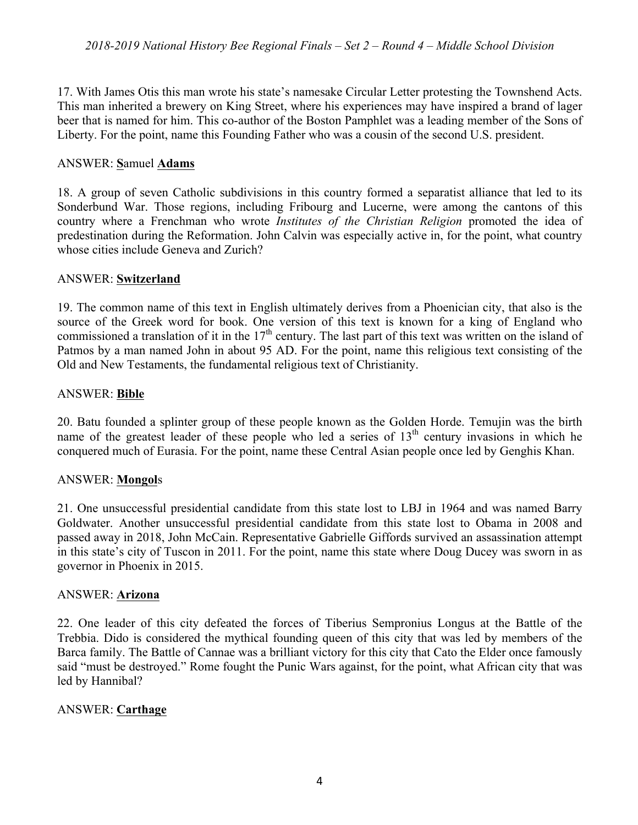17. With James Otis this man wrote his state's namesake Circular Letter protesting the Townshend Acts. This man inherited a brewery on King Street, where his experiences may have inspired a brand of lager beer that is named for him. This co-author of the Boston Pamphlet was a leading member of the Sons of Liberty. For the point, name this Founding Father who was a cousin of the second U.S. president.

## ANSWER: **S**amuel **Adams**

18. A group of seven Catholic subdivisions in this country formed a separatist alliance that led to its Sonderbund War. Those regions, including Fribourg and Lucerne, were among the cantons of this country where a Frenchman who wrote *Institutes of the Christian Religion* promoted the idea of predestination during the Reformation. John Calvin was especially active in, for the point, what country whose cities include Geneva and Zurich?

## ANSWER: **Switzerland**

19. The common name of this text in English ultimately derives from a Phoenician city, that also is the source of the Greek word for book. One version of this text is known for a king of England who commissioned a translation of it in the  $17<sup>th</sup>$  century. The last part of this text was written on the island of Patmos by a man named John in about 95 AD. For the point, name this religious text consisting of the Old and New Testaments, the fundamental religious text of Christianity.

## ANSWER: **Bible**

20. Batu founded a splinter group of these people known as the Golden Horde. Temujin was the birth name of the greatest leader of these people who led a series of  $13<sup>th</sup>$  century invasions in which he conquered much of Eurasia. For the point, name these Central Asian people once led by Genghis Khan.

## ANSWER: **Mongol**s

21. One unsuccessful presidential candidate from this state lost to LBJ in 1964 and was named Barry Goldwater. Another unsuccessful presidential candidate from this state lost to Obama in 2008 and passed away in 2018, John McCain. Representative Gabrielle Giffords survived an assassination attempt in this state's city of Tuscon in 2011. For the point, name this state where Doug Ducey was sworn in as governor in Phoenix in 2015.

## ANSWER: **Arizona**

22. One leader of this city defeated the forces of Tiberius Sempronius Longus at the Battle of the Trebbia. Dido is considered the mythical founding queen of this city that was led by members of the Barca family. The Battle of Cannae was a brilliant victory for this city that Cato the Elder once famously said "must be destroyed." Rome fought the Punic Wars against, for the point, what African city that was led by Hannibal?

# ANSWER: **Carthage**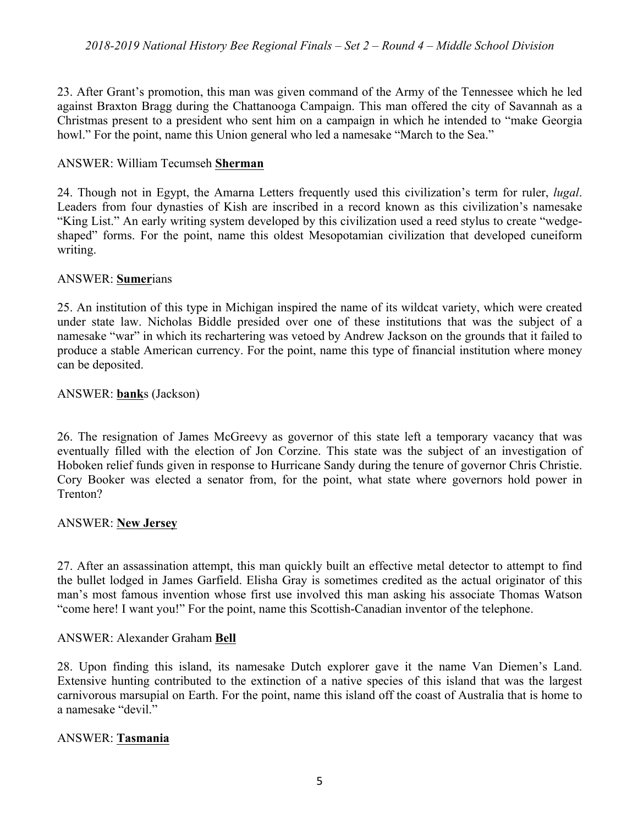23. After Grant's promotion, this man was given command of the Army of the Tennessee which he led against Braxton Bragg during the Chattanooga Campaign. This man offered the city of Savannah as a Christmas present to a president who sent him on a campaign in which he intended to "make Georgia howl." For the point, name this Union general who led a namesake "March to the Sea."

## ANSWER: William Tecumseh **Sherman**

24. Though not in Egypt, the Amarna Letters frequently used this civilization's term for ruler, *lugal*. Leaders from four dynasties of Kish are inscribed in a record known as this civilization's namesake "King List." An early writing system developed by this civilization used a reed stylus to create "wedgeshaped" forms. For the point, name this oldest Mesopotamian civilization that developed cuneiform writing.

#### ANSWER: **Sumer**ians

25. An institution of this type in Michigan inspired the name of its wildcat variety, which were created under state law. Nicholas Biddle presided over one of these institutions that was the subject of a namesake "war" in which its rechartering was vetoed by Andrew Jackson on the grounds that it failed to produce a stable American currency. For the point, name this type of financial institution where money can be deposited.

#### ANSWER: **bank**s (Jackson)

26. The resignation of James McGreevy as governor of this state left a temporary vacancy that was eventually filled with the election of Jon Corzine. This state was the subject of an investigation of Hoboken relief funds given in response to Hurricane Sandy during the tenure of governor Chris Christie. Cory Booker was elected a senator from, for the point, what state where governors hold power in Trenton?

#### ANSWER: **New Jersey**

27. After an assassination attempt, this man quickly built an effective metal detector to attempt to find the bullet lodged in James Garfield. Elisha Gray is sometimes credited as the actual originator of this man's most famous invention whose first use involved this man asking his associate Thomas Watson "come here! I want you!" For the point, name this Scottish-Canadian inventor of the telephone.

#### ANSWER: Alexander Graham **Bell**

28. Upon finding this island, its namesake Dutch explorer gave it the name Van Diemen's Land. Extensive hunting contributed to the extinction of a native species of this island that was the largest carnivorous marsupial on Earth. For the point, name this island off the coast of Australia that is home to a namesake "devil."

#### ANSWER: **Tasmania**